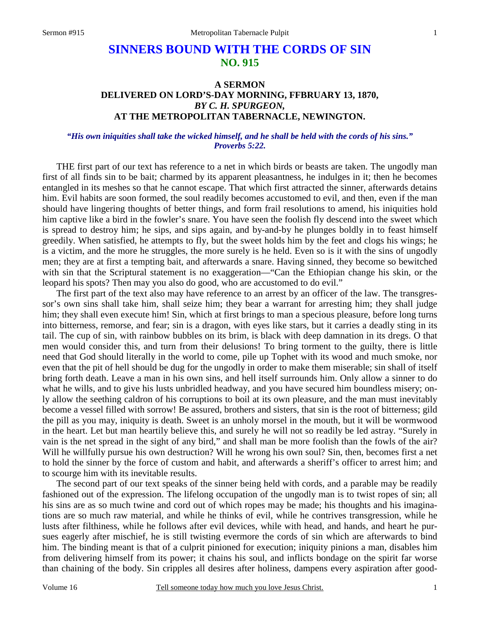# **SINNERS BOUND WITH THE CORDS OF SIN NO. 915**

## **A SERMON DELIVERED ON LORD'S-DAY MORNING, FFBRUARY 13, 1870,** *BY C. H. SPURGEON,*  **AT THE METROPOLITAN TABERNACLE, NEWINGTON.**

### *"His own iniquities shall take the wicked himself, and he shall be held with the cords of his sins." Proverbs 5:22.*

THE first part of our text has reference to a net in which birds or beasts are taken. The ungodly man first of all finds sin to be bait; charmed by its apparent pleasantness, he indulges in it; then he becomes entangled in its meshes so that he cannot escape. That which first attracted the sinner, afterwards detains him. Evil habits are soon formed, the soul readily becomes accustomed to evil, and then, even if the man should have lingering thoughts of better things, and form frail resolutions to amend, his iniquities hold him captive like a bird in the fowler's snare. You have seen the foolish fly descend into the sweet which is spread to destroy him; he sips, and sips again, and by-and-by he plunges boldly in to feast himself greedily. When satisfied, he attempts to fly, but the sweet holds him by the feet and clogs his wings; he is a victim, and the more he struggles, the more surely is he held. Even so is it with the sins of ungodly men; they are at first a tempting bait, and afterwards a snare. Having sinned, they become so bewitched with sin that the Scriptural statement is no exaggeration—"Can the Ethiopian change his skin, or the leopard his spots? Then may you also do good, who are accustomed to do evil."

The first part of the text also may have reference to an arrest by an officer of the law. The transgressor's own sins shall take him, shall seize him; they bear a warrant for arresting him; they shall judge him; they shall even execute him! Sin, which at first brings to man a specious pleasure, before long turns into bitterness, remorse, and fear; sin is a dragon, with eyes like stars, but it carries a deadly sting in its tail. The cup of sin, with rainbow bubbles on its brim, is black with deep damnation in its dregs. O that men would consider this, and turn from their delusions! To bring torment to the guilty, there is little need that God should literally in the world to come, pile up Tophet with its wood and much smoke, nor even that the pit of hell should be dug for the ungodly in order to make them miserable; sin shall of itself bring forth death. Leave a man in his own sins, and hell itself surrounds him. Only allow a sinner to do what he wills, and to give his lusts unbridled headway, and you have secured him boundless misery; only allow the seething caldron of his corruptions to boil at its own pleasure, and the man must inevitably become a vessel filled with sorrow! Be assured, brothers and sisters, that sin is the root of bitterness; gild the pill as you may, iniquity is death. Sweet is an unholy morsel in the mouth, but it will be wormwood in the heart. Let but man heartily believe this, and surely he will not so readily be led astray. "Surely in vain is the net spread in the sight of any bird," and shall man be more foolish than the fowls of the air? Will he willfully pursue his own destruction? Will he wrong his own soul? Sin, then, becomes first a net to hold the sinner by the force of custom and habit, and afterwards a sheriff's officer to arrest him; and to scourge him with its inevitable results.

The second part of our text speaks of the sinner being held with cords, and a parable may be readily fashioned out of the expression. The lifelong occupation of the ungodly man is to twist ropes of sin; all his sins are as so much twine and cord out of which ropes may be made; his thoughts and his imaginations are so much raw material, and while he thinks of evil, while he contrives transgression, while he lusts after filthiness, while he follows after evil devices, while with head, and hands, and heart he pursues eagerly after mischief, he is still twisting evermore the cords of sin which are afterwards to bind him. The binding meant is that of a culprit pinioned for execution; iniquity pinions a man, disables him from delivering himself from its power; it chains his soul, and inflicts bondage on the spirit far worse than chaining of the body. Sin cripples all desires after holiness, dampens every aspiration after good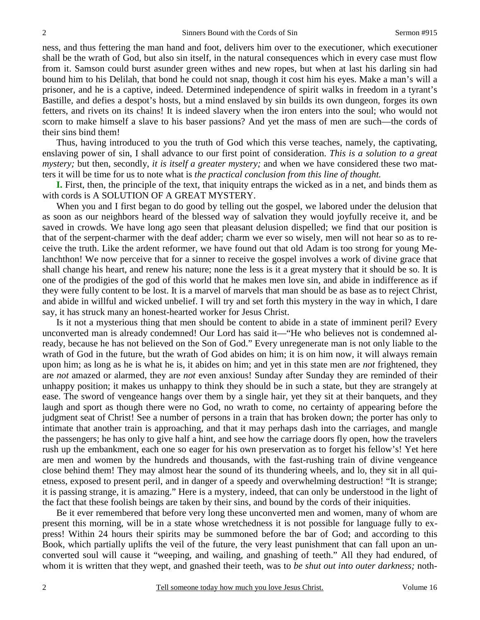ness, and thus fettering the man hand and foot, delivers him over to the executioner, which executioner shall be the wrath of God, but also sin itself, in the natural consequences which in every case must flow from it. Samson could burst asunder green withes and new ropes, but when at last his darling sin had bound him to his Delilah, that bond he could not snap, though it cost him his eyes. Make a man's will a prisoner, and he is a captive, indeed. Determined independence of spirit walks in freedom in a tyrant's Bastille, and defies a despot's hosts, but a mind enslaved by sin builds its own dungeon, forges its own fetters, and rivets on its chains! It is indeed slavery when the iron enters into the soul; who would not scorn to make himself a slave to his baser passions? And yet the mass of men are such—the cords of their sins bind them!

Thus, having introduced to you the truth of God which this verse teaches, namely, the captivating, enslaving power of sin, I shall advance to our first point of consideration. *This is a solution to a great mystery;* but then, secondly, *it is itself a greater mystery;* and when we have considered these two matters it will be time for us to note what is *the practical conclusion from this line of thought.*

**I.** First, then, the principle of the text, that iniquity entraps the wicked as in a net, and binds them as with cords is A SOLUTION OF A GREAT MYSTERY.

When you and I first began to do good by telling out the gospel, we labored under the delusion that as soon as our neighbors heard of the blessed way of salvation they would joyfully receive it, and be saved in crowds. We have long ago seen that pleasant delusion dispelled; we find that our position is that of the serpent-charmer with the deaf adder; charm we ever so wisely, men will not hear so as to receive the truth. Like the ardent reformer, we have found out that old Adam is too strong for young Melanchthon! We now perceive that for a sinner to receive the gospel involves a work of divine grace that shall change his heart, and renew his nature; none the less is it a great mystery that it should be so. It is one of the prodigies of the god of this world that he makes men love sin, and abide in indifference as if they were fully content to be lost. It is a marvel of marvels that man should be as base as to reject Christ, and abide in willful and wicked unbelief. I will try and set forth this mystery in the way in which, I dare say, it has struck many an honest-hearted worker for Jesus Christ.

Is it not a mysterious thing that men should be content to abide in a state of imminent peril? Every unconverted man is already condemned! Our Lord has said it—"He who believes not is condemned already, because he has not believed on the Son of God." Every unregenerate man is not only liable to the wrath of God in the future, but the wrath of God abides on him; it is on him now, it will always remain upon him; as long as he is what he is, it abides on him; and yet in this state men are *not* frightened, they are *not* amazed or alarmed, they are *not* even anxious! Sunday after Sunday they are reminded of their unhappy position; it makes us unhappy to think they should be in such a state, but they are strangely at ease. The sword of vengeance hangs over them by a single hair, yet they sit at their banquets, and they laugh and sport as though there were no God, no wrath to come, no certainty of appearing before the judgment seat of Christ! See a number of persons in a train that has broken down; the porter has only to intimate that another train is approaching, and that it may perhaps dash into the carriages, and mangle the passengers; he has only to give half a hint, and see how the carriage doors fly open, how the travelers rush up the embankment, each one so eager for his own preservation as to forget his fellow's! Yet here are men and women by the hundreds and thousands, with the fast-rushing train of divine vengeance close behind them! They may almost hear the sound of its thundering wheels, and lo, they sit in all quietness, exposed to present peril, and in danger of a speedy and overwhelming destruction! "It is strange; it is passing strange, it is amazing." Here is a mystery, indeed, that can only be understood in the light of the fact that these foolish beings are taken by their sins, and bound by the cords of their iniquities.

Be it ever remembered that before very long these unconverted men and women, many of whom are present this morning, will be in a state whose wretchedness it is not possible for language fully to express! Within 24 hours their spirits may be summoned before the bar of God; and according to this Book, which partially uplifts the veil of the future, the very least punishment that can fall upon an unconverted soul will cause it "weeping, and wailing, and gnashing of teeth." All they had endured, of whom it is written that they wept, and gnashed their teeth, was to *be shut out into outer darkness;* noth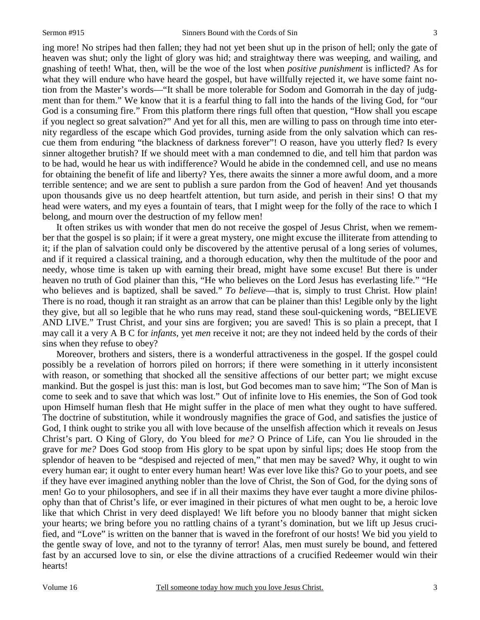ing more! No stripes had then fallen; they had not yet been shut up in the prison of hell; only the gate of heaven was shut; only the light of glory was hid; and straightway there was weeping, and wailing, and gnashing of teeth! What, then, will be the woe of the lost when *positive punishment* is inflicted? As for what they will endure who have heard the gospel, but have willfully rejected it, we have some faint notion from the Master's words—"It shall be more tolerable for Sodom and Gomorrah in the day of judgment than for them." We know that it is a fearful thing to fall into the hands of the living God, for "our God is a consuming fire." From this platform there rings full often that question, "How shall you escape if you neglect so great salvation?" And yet for all this, men are willing to pass on through time into eternity regardless of the escape which God provides, turning aside from the only salvation which can rescue them from enduring "the blackness of darkness forever"! O reason, have you utterly fled? Is every sinner altogether brutish? If we should meet with a man condemned to die, and tell him that pardon was to be had, would he hear us with indifference? Would he abide in the condemned cell, and use no means for obtaining the benefit of life and liberty? Yes, there awaits the sinner a more awful doom, and a more terrible sentence; and we are sent to publish a sure pardon from the God of heaven! And yet thousands upon thousands give us no deep heartfelt attention, but turn aside, and perish in their sins! O that my head were waters, and my eyes a fountain of tears, that I might weep for the folly of the race to which I belong, and mourn over the destruction of my fellow men!

It often strikes us with wonder that men do not receive the gospel of Jesus Christ, when we remember that the gospel is so plain; if it were a great mystery, one might excuse the illiterate from attending to it; if the plan of salvation could only be discovered by the attentive perusal of a long series of volumes, and if it required a classical training, and a thorough education, why then the multitude of the poor and needy, whose time is taken up with earning their bread, might have some excuse! But there is under heaven no truth of God plainer than this, "He who believes on the Lord Jesus has everlasting life." "He who believes and is baptized, shall be saved." *To believe*—that is, simply to trust Christ. How plain! There is no road, though it ran straight as an arrow that can be plainer than this! Legible only by the light they give, but all so legible that he who runs may read, stand these soul-quickening words, "BELIEVE AND LIVE." Trust Christ, and your sins are forgiven; you are saved! This is so plain a precept, that I may call it a very A B C for *infants*, yet *men* receive it not; are they not indeed held by the cords of their sins when they refuse to obey?

Moreover, brothers and sisters, there is a wonderful attractiveness in the gospel. If the gospel could possibly be a revelation of horrors piled on horrors; if there were something in it utterly inconsistent with reason, or something that shocked all the sensitive affections of our better part; we might excuse mankind. But the gospel is just this: man is lost, but God becomes man to save him; "The Son of Man is come to seek and to save that which was lost." Out of infinite love to His enemies, the Son of God took upon Himself human flesh that He might suffer in the place of men what they ought to have suffered. The doctrine of substitution, while it wondrously magnifies the grace of God, and satisfies the justice of God, I think ought to strike you all with love because of the unselfish affection which it reveals on Jesus Christ's part. O King of Glory, do You bleed for *me?* O Prince of Life, can You lie shrouded in the grave for *me?* Does God stoop from His glory to be spat upon by sinful lips; does He stoop from the splendor of heaven to be "despised and rejected of men," that men may be saved? Why, it ought to win every human ear; it ought to enter every human heart! Was ever love like this? Go to your poets, and see if they have ever imagined anything nobler than the love of Christ, the Son of God, for the dying sons of men! Go to your philosophers, and see if in all their maxims they have ever taught a more divine philosophy than that of Christ's life, or ever imagined in their pictures of what men ought to be, a heroic love like that which Christ in very deed displayed! We lift before you no bloody banner that might sicken your hearts; we bring before you no rattling chains of a tyrant's domination, but we lift up Jesus crucified, and "Love" is written on the banner that is waved in the forefront of our hosts! We bid you yield to the gentle sway of love, and not to the tyranny of terror! Alas, men must surely be bound, and fettered fast by an accursed love to sin, or else the divine attractions of a crucified Redeemer would win their hearts!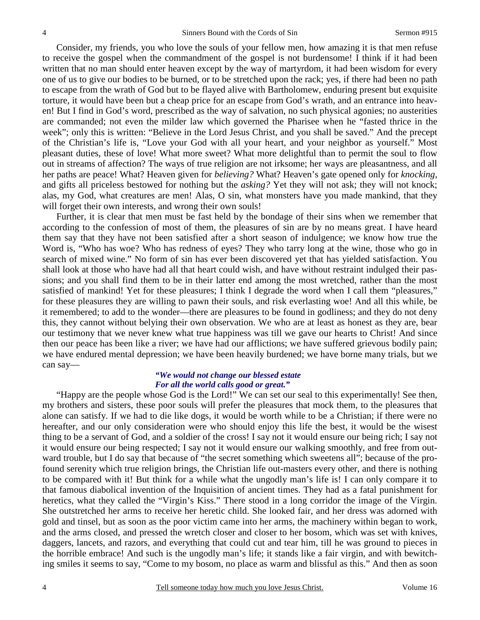Consider, my friends, you who love the souls of your fellow men, how amazing it is that men refuse to receive the gospel when the commandment of the gospel is not burdensome! I think if it had been written that no man should enter heaven except by the way of martyrdom, it had been wisdom for every one of us to give our bodies to be burned, or to be stretched upon the rack; yes, if there had been no path to escape from the wrath of God but to be flayed alive with Bartholomew, enduring present but exquisite torture, it would have been but a cheap price for an escape from God's wrath, and an entrance into heaven! But I find in God's word, prescribed as the way of salvation, no such physical agonies; no austerities are commanded; not even the milder law which governed the Pharisee when he "fasted thrice in the week"; only this is written: "Believe in the Lord Jesus Christ, and you shall be saved." And the precept of the Christian's life is, "Love your God with all your heart, and your neighbor as yourself." Most pleasant duties, these of love! What more sweet? What more delightful than to permit the soul to flow out in streams of affection? The ways of true religion are not irksome; her ways are pleasantness, and all her paths are peace! What? Heaven given for *believing?* What? Heaven's gate opened only for *knocking*, and gifts all priceless bestowed for nothing but the *asking?* Yet they will not ask; they will not knock; alas, my God, what creatures are men! Alas, O sin, what monsters have you made mankind, that they will forget their own interests, and wrong their own souls!

Further, it is clear that men must be fast held by the bondage of their sins when we remember that according to the confession of most of them, the pleasures of sin are by no means great. I have heard them say that they have not been satisfied after a short season of indulgence; we know how true the Word is, "Who has woe? Who has redness of eyes? They who tarry long at the wine, those who go in search of mixed wine." No form of sin has ever been discovered yet that has yielded satisfaction. You shall look at those who have had all that heart could wish, and have without restraint indulged their passions; and you shall find them to be in their latter end among the most wretched, rather than the most satisfied of mankind! Yet for these pleasures; I think I degrade the word when I call them "pleasures," for these pleasures they are willing to pawn their souls, and risk everlasting woe! And all this while, be it remembered; to add to the wonder—there are pleasures to be found in godliness; and they do not deny this, they cannot without belying their own observation. We who are at least as honest as they are, bear our testimony that we never knew what true happiness was till we gave our hearts to Christ! And since then our peace has been like a river; we have had our afflictions; we have suffered grievous bodily pain; we have endured mental depression; we have been heavily burdened; we have borne many trials, but we can say—

#### *"We would not change our blessed estate For all the world calls good or great."*

"Happy are the people whose God is the Lord!" We can set our seal to this experimentally! See then, my brothers and sisters, these poor souls will prefer the pleasures that mock them, to the pleasures that alone can satisfy. If we had to die like dogs, it would be worth while to be a Christian; if there were no hereafter, and our only consideration were who should enjoy this life the best, it would be the wisest thing to be a servant of God, and a soldier of the cross! I say not it would ensure our being rich; I say not it would ensure our being respected; I say not it would ensure our walking smoothly, and free from outward trouble, but I do say that because of "the secret something which sweetens all"; because of the profound serenity which true religion brings, the Christian life out-masters every other, and there is nothing to be compared with it! But think for a while what the ungodly man's life is! I can only compare it to that famous diabolical invention of the Inquisition of ancient times. They had as a fatal punishment for heretics, what they called the "Virgin's Kiss." There stood in a long corridor the image of the Virgin. She outstretched her arms to receive her heretic child. She looked fair, and her dress was adorned with gold and tinsel, but as soon as the poor victim came into her arms, the machinery within began to work, and the arms closed, and pressed the wretch closer and closer to her bosom, which was set with knives, daggers, lancets, and razors, and everything that could cut and tear him, till he was ground to pieces in the horrible embrace! And such is the ungodly man's life; it stands like a fair virgin, and with bewitching smiles it seems to say, "Come to my bosom, no place as warm and blissful as this." And then as soon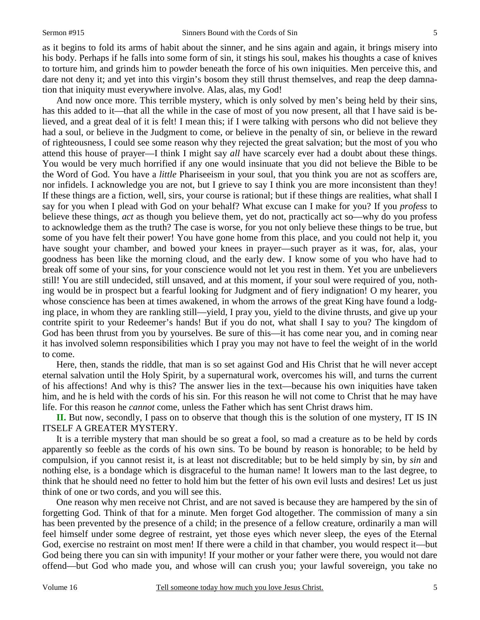as it begins to fold its arms of habit about the sinner, and he sins again and again, it brings misery into his body. Perhaps if he falls into some form of sin, it stings his soul, makes his thoughts a case of knives to torture him, and grinds him to powder beneath the force of his own iniquities. Men perceive this, and dare not deny it; and yet into this virgin's bosom they still thrust themselves, and reap the deep damnation that iniquity must everywhere involve. Alas, alas, my God!

And now once more. This terrible mystery, which is only solved by men's being held by their sins, has this added to it—that all the while in the case of most of you now present, all that I have said is believed, and a great deal of it is felt! I mean this; if I were talking with persons who did not believe they had a soul, or believe in the Judgment to come, or believe in the penalty of sin, or believe in the reward of righteousness, I could see some reason why they rejected the great salvation; but the most of you who attend this house of prayer—I think I might say *all* have scarcely ever had a doubt about these things. You would be very much horrified if any one would insinuate that you did not believe the Bible to be the Word of God. You have a *little* Phariseeism in your soul, that you think you are not as scoffers are, nor infidels. I acknowledge you are not, but I grieve to say I think you are more inconsistent than they! If these things are a fiction, well, sirs, your course is rational; but if these things are realities, what shall I say for you when I plead with God on your behalf? What excuse can I make for you? If you *profess* to believe these things, *act* as though you believe them, yet do not, practically act so—why do you profess to acknowledge them as the truth? The case is worse, for you not only believe these things to be true, but some of you have felt their power! You have gone home from this place, and you could not help it, you have sought your chamber, and bowed your knees in prayer—such prayer as it was, for, alas, your goodness has been like the morning cloud, and the early dew. I know some of you who have had to break off some of your sins, for your conscience would not let you rest in them. Yet you are unbelievers still! You are still undecided, still unsaved, and at this moment, if your soul were required of you, nothing would be in prospect but a fearful looking for Judgment and of fiery indignation! O my hearer, you whose conscience has been at times awakened, in whom the arrows of the great King have found a lodging place, in whom they are rankling still—yield, I pray you, yield to the divine thrusts, and give up your contrite spirit to your Redeemer's hands! But if you do not, what shall I say to you? The kingdom of God has been thrust from you by yourselves. Be sure of this—it has come near you, and in coming near it has involved solemn responsibilities which I pray you may not have to feel the weight of in the world to come.

Here, then, stands the riddle, that man is so set against God and His Christ that he will never accept eternal salvation until the Holy Spirit, by a supernatural work, overcomes his will, and turns the current of his affections! And why is this? The answer lies in the text—because his own iniquities have taken him, and he is held with the cords of his sin. For this reason he will not come to Christ that he may have life. For this reason he *cannot* come, unless the Father which has sent Christ draws him.

**II.** But now, secondly, I pass on to observe that though this is the solution of one mystery, IT IS IN ITSELF A GREATER MYSTERY.

It is a terrible mystery that man should be so great a fool, so mad a creature as to be held by cords apparently so feeble as the cords of his own sins. To be bound by reason is honorable; to be held by compulsion, if you cannot resist it, is at least not discreditable; but to be held simply by sin, by *sin* and nothing else, is a bondage which is disgraceful to the human name! It lowers man to the last degree, to think that he should need no fetter to hold him but the fetter of his own evil lusts and desires! Let us just think of one or two cords, and you will see this.

One reason why men receive not Christ, and are not saved is because they are hampered by the sin of forgetting God. Think of that for a minute. Men forget God altogether. The commission of many a sin has been prevented by the presence of a child; in the presence of a fellow creature, ordinarily a man will feel himself under some degree of restraint, yet those eyes which never sleep, the eyes of the Eternal God, exercise no restraint on most men! If there were a child in that chamber, you would respect it—but God being there you can sin with impunity! If your mother or your father were there, you would not dare offend—but God who made you, and whose will can crush you; your lawful sovereign, you take no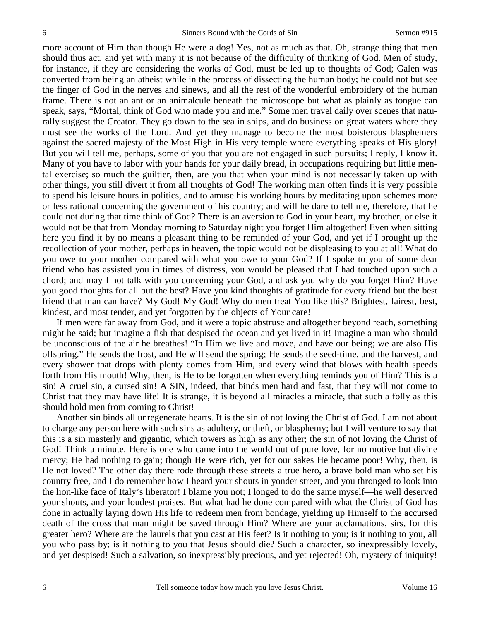more account of Him than though He were a dog! Yes, not as much as that. Oh, strange thing that men should thus act, and yet with many it is not because of the difficulty of thinking of God. Men of study, for instance, if they are considering the works of God, must be led up to thoughts of God; Galen was converted from being an atheist while in the process of dissecting the human body; he could not but see the finger of God in the nerves and sinews, and all the rest of the wonderful embroidery of the human frame. There is not an ant or an animalcule beneath the microscope but what as plainly as tongue can speak, says, "Mortal, think of God who made you and me." Some men travel daily over scenes that naturally suggest the Creator. They go down to the sea in ships, and do business on great waters where they must see the works of the Lord. And yet they manage to become the most boisterous blasphemers against the sacred majesty of the Most High in His very temple where everything speaks of His glory! But you will tell me, perhaps, some of you that you are not engaged in such pursuits; I reply, I know it. Many of you have to labor with your hands for your daily bread, in occupations requiring but little mental exercise; so much the guiltier, then, are you that when your mind is not necessarily taken up with other things, you still divert it from all thoughts of God! The working man often finds it is very possible to spend his leisure hours in politics, and to amuse his working hours by meditating upon schemes more or less rational concerning the government of his country; and will he dare to tell me, therefore, that he could not during that time think of God? There is an aversion to God in your heart, my brother, or else it would not be that from Monday morning to Saturday night you forget Him altogether! Even when sitting here you find it by no means a pleasant thing to be reminded of your God, and yet if I brought up the recollection of your mother, perhaps in heaven, the topic would not be displeasing to you at all! What do you owe to your mother compared with what you owe to your God? If I spoke to you of some dear friend who has assisted you in times of distress, you would be pleased that I had touched upon such a chord; and may I not talk with you concerning your God, and ask you why do you forget Him? Have you good thoughts for all but the best? Have you kind thoughts of gratitude for every friend but the best friend that man can have? My God! My God! Why do men treat You like this? Brightest, fairest, best, kindest, and most tender, and yet forgotten by the objects of Your care!

If men were far away from God, and it were a topic abstruse and altogether beyond reach, something might be said; but imagine a fish that despised the ocean and yet lived in it! Imagine a man who should be unconscious of the air he breathes! "In Him we live and move, and have our being; we are also His offspring." He sends the frost, and He will send the spring; He sends the seed-time, and the harvest, and every shower that drops with plenty comes from Him, and every wind that blows with health speeds forth from His mouth! Why, then, is He to be forgotten when everything reminds you of Him? This is a sin! A cruel sin, a cursed sin! A SIN, indeed, that binds men hard and fast, that they will not come to Christ that they may have life! It is strange, it is beyond all miracles a miracle, that such a folly as this should hold men from coming to Christ!

Another sin binds all unregenerate hearts. It is the sin of not loving the Christ of God. I am not about to charge any person here with such sins as adultery, or theft, or blasphemy; but I will venture to say that this is a sin masterly and gigantic, which towers as high as any other; the sin of not loving the Christ of God! Think a minute. Here is one who came into the world out of pure love, for no motive but divine mercy; He had nothing to gain; though He were rich, yet for our sakes He became poor! Why, then, is He not loved? The other day there rode through these streets a true hero, a brave bold man who set his country free, and I do remember how I heard your shouts in yonder street, and you thronged to look into the lion-like face of Italy's liberator! I blame you not; I longed to do the same myself—he well deserved your shouts, and your loudest praises. But what had he done compared with what the Christ of God has done in actually laying down His life to redeem men from bondage, yielding up Himself to the accursed death of the cross that man might be saved through Him? Where are your acclamations, sirs, for this greater hero? Where are the laurels that you cast at His feet? Is it nothing to you; is it nothing to you, all you who pass by; is it nothing to you that Jesus should die? Such a character, so inexpressibly lovely, and yet despised! Such a salvation, so inexpressibly precious, and yet rejected! Oh, mystery of iniquity!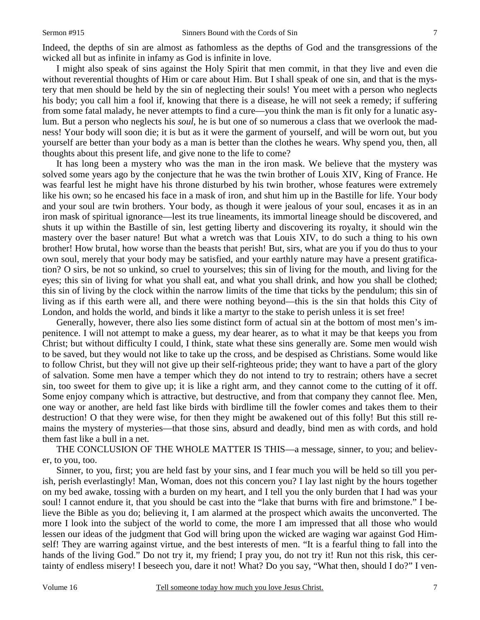Indeed, the depths of sin are almost as fathomless as the depths of God and the transgressions of the wicked all but as infinite in infamy as God is infinite in love.

I might also speak of sins against the Holy Spirit that men commit, in that they live and even die without reverential thoughts of Him or care about Him. But I shall speak of one sin, and that is the mystery that men should be held by the sin of neglecting their souls! You meet with a person who neglects his body; you call him a fool if, knowing that there is a disease, he will not seek a remedy; if suffering from some fatal malady, he never attempts to find a cure—you think the man is fit only for a lunatic asylum. But a person who neglects his *soul*, he is but one of so numerous a class that we overlook the madness! Your body will soon die; it is but as it were the garment of yourself, and will be worn out, but you yourself are better than your body as a man is better than the clothes he wears. Why spend you, then, all thoughts about this present life, and give none to the life to come?

It has long been a mystery who was the man in the iron mask. We believe that the mystery was solved some years ago by the conjecture that he was the twin brother of Louis XIV, King of France. He was fearful lest he might have his throne disturbed by his twin brother, whose features were extremely like his own; so he encased his face in a mask of iron, and shut him up in the Bastille for life. Your body and your soul are twin brothers. Your body, as though it were jealous of your soul, encases it as in an iron mask of spiritual ignorance—lest its true lineaments, its immortal lineage should be discovered, and shuts it up within the Bastille of sin, lest getting liberty and discovering its royalty, it should win the mastery over the baser nature! But what a wretch was that Louis XIV, to do such a thing to his own brother! How brutal, how worse than the beasts that perish! But, sirs, what are you if you do thus to your own soul, merely that your body may be satisfied, and your earthly nature may have a present gratification? O sirs, be not so unkind, so cruel to yourselves; this sin of living for the mouth, and living for the eyes; this sin of living for what you shall eat, and what you shall drink, and how you shall be clothed; this sin of living by the clock within the narrow limits of the time that ticks by the pendulum; this sin of living as if this earth were all, and there were nothing beyond—this is the sin that holds this City of London, and holds the world, and binds it like a martyr to the stake to perish unless it is set free!

Generally, however, there also lies some distinct form of actual sin at the bottom of most men's impenitence. I will not attempt to make a guess, my dear hearer, as to what it may be that keeps you from Christ; but without difficulty I could, I think, state what these sins generally are. Some men would wish to be saved, but they would not like to take up the cross, and be despised as Christians. Some would like to follow Christ, but they will not give up their self-righteous pride; they want to have a part of the glory of salvation. Some men have a temper which they do not intend to try to restrain; others have a secret sin, too sweet for them to give up; it is like a right arm, and they cannot come to the cutting of it off. Some enjoy company which is attractive, but destructive, and from that company they cannot flee. Men, one way or another, are held fast like birds with birdlime till the fowler comes and takes them to their destruction! O that they were wise, for then they might be awakened out of this folly! But this still remains the mystery of mysteries—that those sins, absurd and deadly, bind men as with cords, and hold them fast like a bull in a net.

THE CONCLUSION OF THE WHOLE MATTER IS THIS—a message, sinner, to you; and believer, to you, too.

Sinner, to you, first; you are held fast by your sins, and I fear much you will be held so till you perish, perish everlastingly! Man, Woman, does not this concern you? I lay last night by the hours together on my bed awake, tossing with a burden on my heart, and I tell you the only burden that I had was your soul! I cannot endure it, that you should be cast into the "lake that burns with fire and brimstone." I believe the Bible as you do; believing it, I am alarmed at the prospect which awaits the unconverted. The more I look into the subject of the world to come, the more I am impressed that all those who would lessen our ideas of the judgment that God will bring upon the wicked are waging war against God Himself! They are warring against virtue, and the best interests of men. "It is a fearful thing to fall into the hands of the living God." Do not try it, my friend; I pray you, do not try it! Run not this risk, this certainty of endless misery! I beseech you, dare it not! What? Do you say, "What then, should I do?" I ven